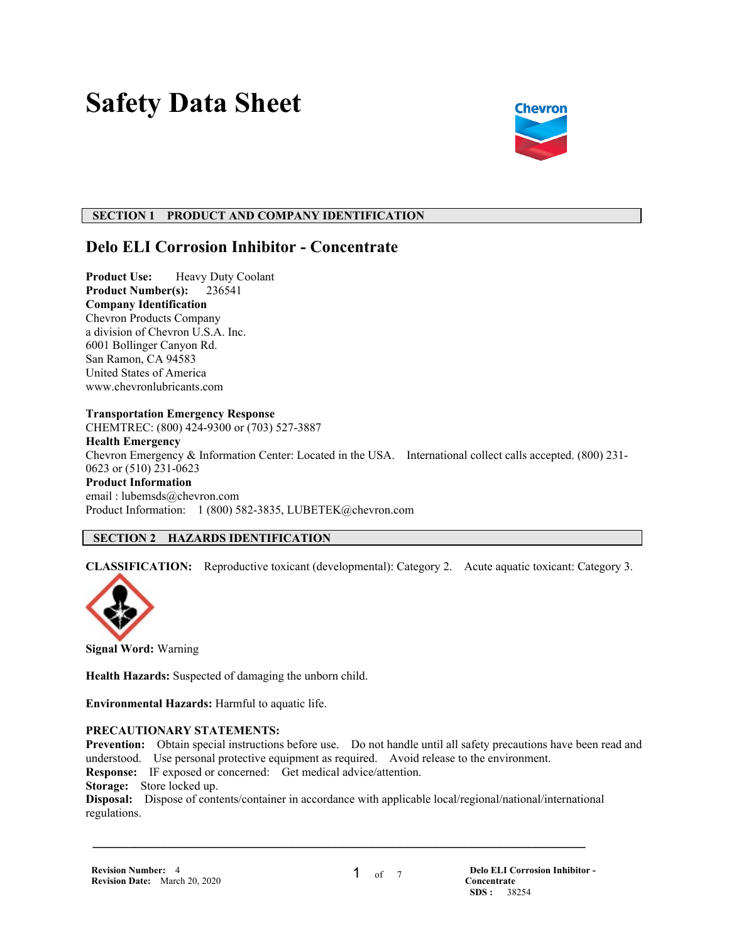# **Safety Data Sheet**



## **SECTION 1 PRODUCT AND COMPANY IDENTIFICATION**

## **Delo ELI Corrosion Inhibitor - Concentrate**

**Product Use:** Heavy Duty Coolant **Product Number(s):** 236541 **Company Identification** Chevron Products Company a division of Chevron U.S.A. Inc. 6001 Bollinger Canyon Rd. San Ramon, CA 94583 United States of America www.chevronlubricants.com

#### **Transportation Emergency Response**

CHEMTREC: (800) 424-9300 or (703) 527-3887 **Health Emergency** Chevron Emergency & Information Center: Located in the USA. International collect calls accepted. (800) 231- 0623 or (510) 231-0623 **Product Information** email : lubemsds@chevron.com Product Information: 1 (800) 582-3835, LUBETEK@chevron.com

## **SECTION 2 HAZARDS IDENTIFICATION**

**CLASSIFICATION:** Reproductive toxicant (developmental): Category 2. Acute aquatic toxicant: Category 3.



**Signal Word:** Warning

**Health Hazards:** Suspected of damaging the unborn child.

**Environmental Hazards:** Harmful to aquatic life.

## **PRECAUTIONARY STATEMENTS:**

**Prevention:** Obtain special instructions before use. Do not handle until all safety precautions have been read and understood. Use personal protective equipment as required. Avoid release to the environment.

**Response:** IF exposed or concerned: Get medical advice/attention.

**Storage:** Store locked up.

**Disposal:** Dispose of contents/container in accordance with applicable local/regional/national/international regulations.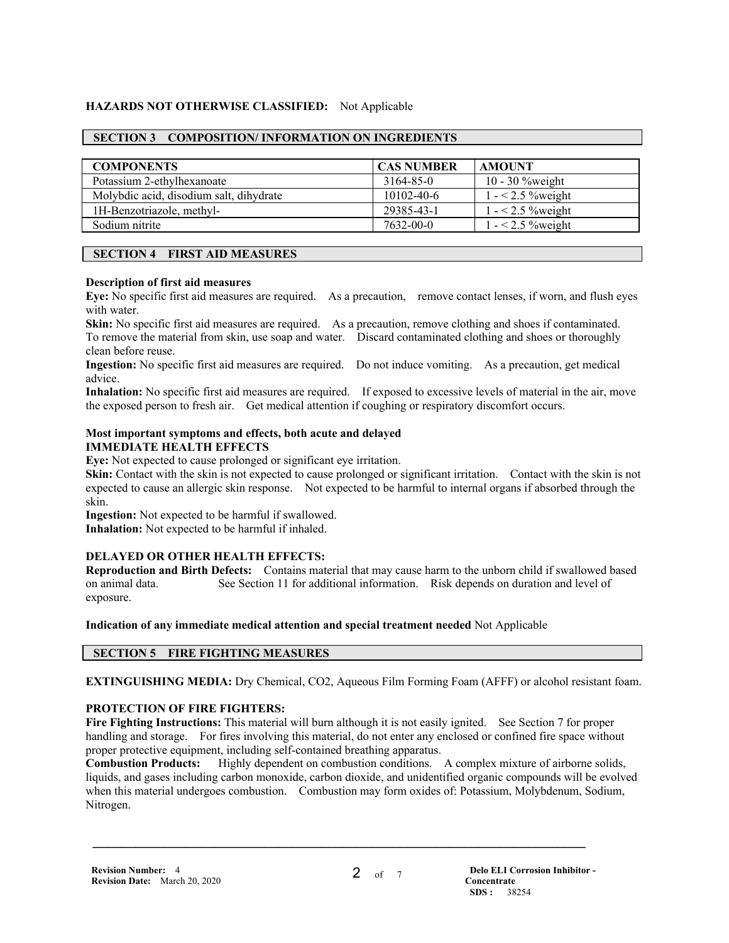## **HAZARDS NOT OTHERWISE CLASSIFIED:** Not Applicable

## **SECTION 3 COMPOSITION/ INFORMATION ON INGREDIENTS**

| <b>COMPONENTS</b>                       | <b>CAS NUMBER</b> | <b>AMOUNT</b>      |
|-----------------------------------------|-------------------|--------------------|
| Potassium 2-ethylhexanoate              | 3164-85-0         | $10 - 30$ % weight |
| Molybdic acid, disodium salt, dihydrate | $10102 - 40 - 6$  | $1 - 2.5$ % weight |
| 1H-Benzotriazole, methyl-               | 29385-43-1        | $1 - 2.5$ % weight |
| Sodium nitrite                          | 7632-00-0         | $1 - 2.5$ % weight |

## **SECTION 4 FIRST AID MEASURES**

#### **Description of first aid measures**

**Eye:** No specific first aid measures are required. As a precaution, remove contact lenses, if worn, and flush eyes with water.

**Skin:** No specific first aid measures are required. As a precaution, remove clothing and shoes if contaminated. To remove the material from skin, use soap and water. Discard contaminated clothing and shoes or thoroughly clean before reuse.

**Ingestion:** No specific first aid measures are required. Do not induce vomiting. As a precaution, get medical advice.

**Inhalation:** No specific first aid measures are required. If exposed to excessive levels of material in the air, move the exposed person to fresh air. Get medical attention if coughing or respiratory discomfort occurs.

#### **Most important symptoms and effects, both acute and delayed IMMEDIATE HEALTH EFFECTS**

**Eye:** Not expected to cause prolonged or significant eye irritation.

**Skin:** Contact with the skin is not expected to cause prolonged or significant irritation. Contact with the skin is not expected to cause an allergic skin response. Not expected to be harmful to internal organs if absorbed through the skin.

**Ingestion:** Not expected to be harmful if swallowed.

**Inhalation:** Not expected to be harmful if inhaled.

## **DELAYED OR OTHER HEALTH EFFECTS:**

**Reproduction and Birth Defects:** Contains material that may cause harm to the unborn child if swallowed based on animal data. See Section 11 for additional information. Risk depends on duration and level of exposure.

**Indication of any immediate medical attention and special treatment needed** Not Applicable

## **SECTION 5 FIRE FIGHTING MEASURES**

**EXTINGUISHING MEDIA:** Dry Chemical, CO2, Aqueous Film Forming Foam (AFFF) or alcohol resistant foam.

## **PROTECTION OF FIRE FIGHTERS:**

**Fire Fighting Instructions:** This material will burn although it is not easily ignited. See Section 7 for proper handling and storage. For fires involving this material, do not enter any enclosed or confined fire space without proper protective equipment, including self-contained breathing apparatus.

**Combustion Products:** Highly dependent on combustion conditions. A complex mixture of airborne solids, liquids, and gases including carbon monoxide, carbon dioxide, and unidentified organic compounds will be evolved when this material undergoes combustion. Combustion may form oxides of: Potassium, Molybdenum, Sodium, Nitrogen.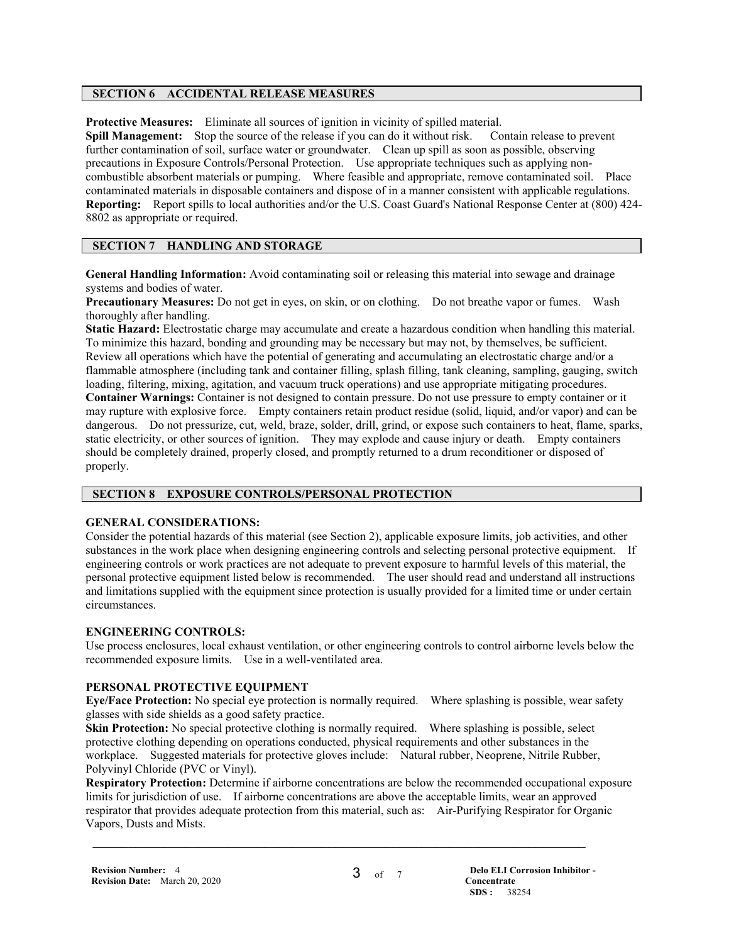## **SECTION 6 ACCIDENTAL RELEASE MEASURES**

**Protective Measures:** Eliminate all sources of ignition in vicinity of spilled material.

**Spill Management:** Stop the source of the release if you can do it without risk. Contain release to prevent further contamination of soil, surface water or groundwater. Clean up spill as soon as possible, observing precautions in Exposure Controls/Personal Protection. Use appropriate techniques such as applying noncombustible absorbent materials or pumping. Where feasible and appropriate, remove contaminated soil. Place contaminated materials in disposable containers and dispose of in a manner consistent with applicable regulations. **Reporting:** Report spills to local authorities and/or the U.S. Coast Guard's National Response Center at (800) 424- 8802 as appropriate or required.

## **SECTION 7 HANDLING AND STORAGE**

**General Handling Information:** Avoid contaminating soil or releasing this material into sewage and drainage systems and bodies of water.

**Precautionary Measures:** Do not get in eyes, on skin, or on clothing. Do not breathe vapor or fumes. Wash thoroughly after handling.

**Static Hazard:** Electrostatic charge may accumulate and create a hazardous condition when handling this material. To minimize this hazard, bonding and grounding may be necessary but may not, by themselves, be sufficient. Review all operations which have the potential of generating and accumulating an electrostatic charge and/or a flammable atmosphere (including tank and container filling, splash filling, tank cleaning, sampling, gauging, switch loading, filtering, mixing, agitation, and vacuum truck operations) and use appropriate mitigating procedures. **Container Warnings:** Container is not designed to contain pressure. Do not use pressure to empty container or it may rupture with explosive force. Empty containers retain product residue (solid, liquid, and/or vapor) and can be dangerous. Do not pressurize, cut, weld, braze, solder, drill, grind, or expose such containers to heat, flame, sparks, static electricity, or other sources of ignition. They may explode and cause injury or death. Empty containers should be completely drained, properly closed, and promptly returned to a drum reconditioner or disposed of properly.

## **SECTION 8 EXPOSURE CONTROLS/PERSONAL PROTECTION**

## **GENERAL CONSIDERATIONS:**

Consider the potential hazards of this material (see Section 2), applicable exposure limits, job activities, and other substances in the work place when designing engineering controls and selecting personal protective equipment. If engineering controls or work practices are not adequate to prevent exposure to harmful levels of this material, the personal protective equipment listed below is recommended. The user should read and understand all instructions and limitations supplied with the equipment since protection is usually provided for a limited time or under certain circumstances.

## **ENGINEERING CONTROLS:**

Use process enclosures, local exhaust ventilation, or other engineering controls to control airborne levels below the recommended exposure limits. Use in a well-ventilated area.

## **PERSONAL PROTECTIVE EQUIPMENT**

**Eye/Face Protection:** No special eye protection is normally required. Where splashing is possible, wear safety glasses with side shields as a good safety practice.

**Skin Protection:** No special protective clothing is normally required. Where splashing is possible, select protective clothing depending on operations conducted, physical requirements and other substances in the workplace. Suggested materials for protective gloves include: Natural rubber, Neoprene, Nitrile Rubber, Polyvinyl Chloride (PVC or Vinyl).

 $\mathcal{L} = \{ \mathcal{L} \mathcal{L} \mathcal{L} \mathcal{L} \mathcal{L} \mathcal{L} \mathcal{L} \mathcal{L} \mathcal{L} \mathcal{L} \mathcal{L} \mathcal{L} \mathcal{L} \mathcal{L} \mathcal{L} \mathcal{L} \mathcal{L} \mathcal{L} \mathcal{L} \mathcal{L} \mathcal{L} \mathcal{L} \mathcal{L} \mathcal{L} \mathcal{L} \mathcal{L} \mathcal{L} \mathcal{L} \mathcal{L} \mathcal{L} \mathcal{L} \mathcal{L} \mathcal{L} \mathcal{L} \mathcal{L} \$ 

**Respiratory Protection:** Determine if airborne concentrations are below the recommended occupational exposure limits for jurisdiction of use. If airborne concentrations are above the acceptable limits, wear an approved respirator that provides adequate protection from this material, such as: Air-Purifying Respirator for Organic Vapors, Dusts and Mists.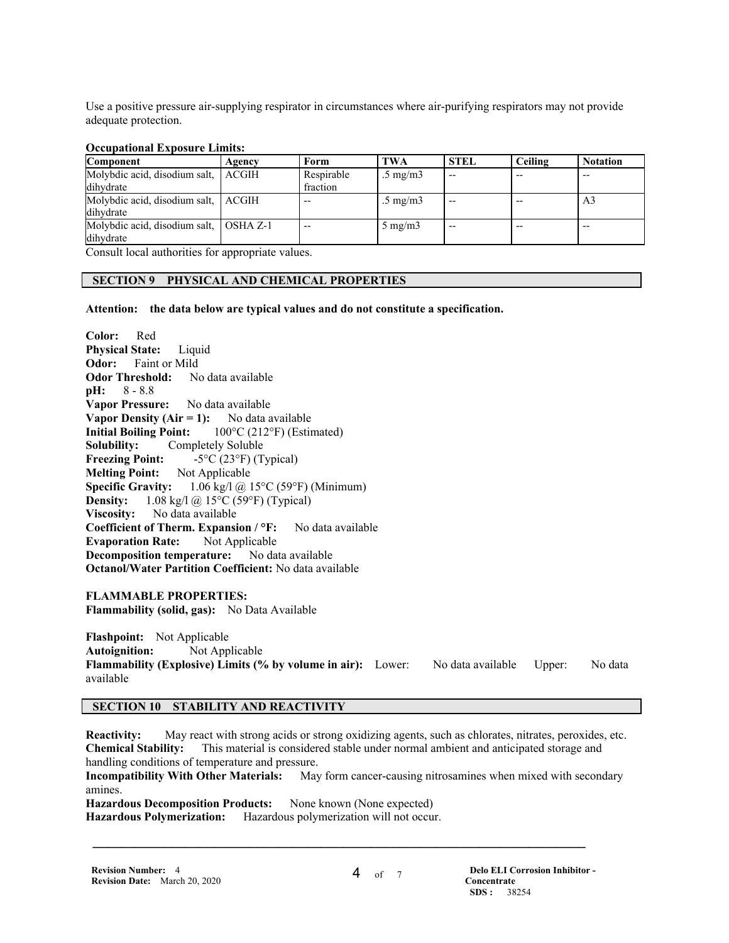Use a positive pressure air-supplying respirator in circumstances where air-purifying respirators may not provide adequate protection.

#### **Occupational Exposure Limits:**

| Agency                                 | Form       | <b>TWA</b>        | <b>STEL</b> | Ceiling | <b>Notation</b> |
|----------------------------------------|------------|-------------------|-------------|---------|-----------------|
| Molybdic acid, disodium salt, ACGIH    | Respirable | $.5 \text{ mg/m}$ | $- -$       | $- -$   |                 |
|                                        | fraction   |                   |             |         |                 |
| Molybdic acid, disodium salt, ACGIH    | $- -$      | $.5 \text{ mg/m}$ |             |         | A <sub>3</sub>  |
|                                        |            |                   |             |         |                 |
| Molybdic acid, disodium salt, OSHA Z-1 | $- -$      | $5 \text{ mg/m}$  | $- -$       | --      | $- -$           |
|                                        |            |                   |             |         |                 |
|                                        |            |                   |             |         |                 |

Consult local authorities for appropriate values.

## **SECTION 9 PHYSICAL AND CHEMICAL PROPERTIES**

**Attention: the data below are typical values and do not constitute a specification.**

**Color:** Red **Physical State:** Liquid **Odor:** Faint or Mild **Odor Threshold:** No data available **pH:** 8 - 8.8 **Vapor Pressure:** No data available **Vapor Density (Air = 1):** No data available **Initial Boiling Point:** 100°C (212°F) (Estimated) **Solubility:** Completely Soluble **Freezing Point:**  $-5^{\circ}C(23^{\circ}F)(Typeal)$ **Melting Point:** Not Applicable **Specific Gravity:** 1.06 kg/l @ 15°C (59°F) (Minimum) **Density:** 1.08 kg/l @ 15°C (59°F) (Typical) **Viscosity:** No data available **Coefficient of Therm. Expansion / °F:** No data available **Evaporation Rate:** Not Applicable **Decomposition temperature:** No data available **Octanol/Water Partition Coefficient:** No data available

**FLAMMABLE PROPERTIES:**

**Flammability (solid, gas):** No Data Available

**Flashpoint:** Not Applicable **Autoignition:** Not Applicable Flammability (Explosive) Limits (% by volume in air): Lower: No data available Upper: No data available

## **SECTION 10 STABILITY AND REACTIVITY**

**Reactivity:** May react with strong acids or strong oxidizing agents, such as chlorates, nitrates, peroxides, etc. **Chemical Stability:** This material is considered stable under normal ambient and anticipated storage and handling conditions of temperature and pressure.

**Incompatibility With Other Materials:** May form cancer-causing nitrosamines when mixed with secondary amines.

 $\mathcal{L} = \{ \mathcal{L} \mathcal{L} \mathcal{L} \mathcal{L} \mathcal{L} \mathcal{L} \mathcal{L} \mathcal{L} \mathcal{L} \mathcal{L} \mathcal{L} \mathcal{L} \mathcal{L} \mathcal{L} \mathcal{L} \mathcal{L} \mathcal{L} \mathcal{L} \mathcal{L} \mathcal{L} \mathcal{L} \mathcal{L} \mathcal{L} \mathcal{L} \mathcal{L} \mathcal{L} \mathcal{L} \mathcal{L} \mathcal{L} \mathcal{L} \mathcal{L} \mathcal{L} \mathcal{L} \mathcal{L} \mathcal{L} \$ 

Hazardous Decomposition Products: None known (None expected) **Hazardous Polymerization:** Hazardous polymerization will not occur.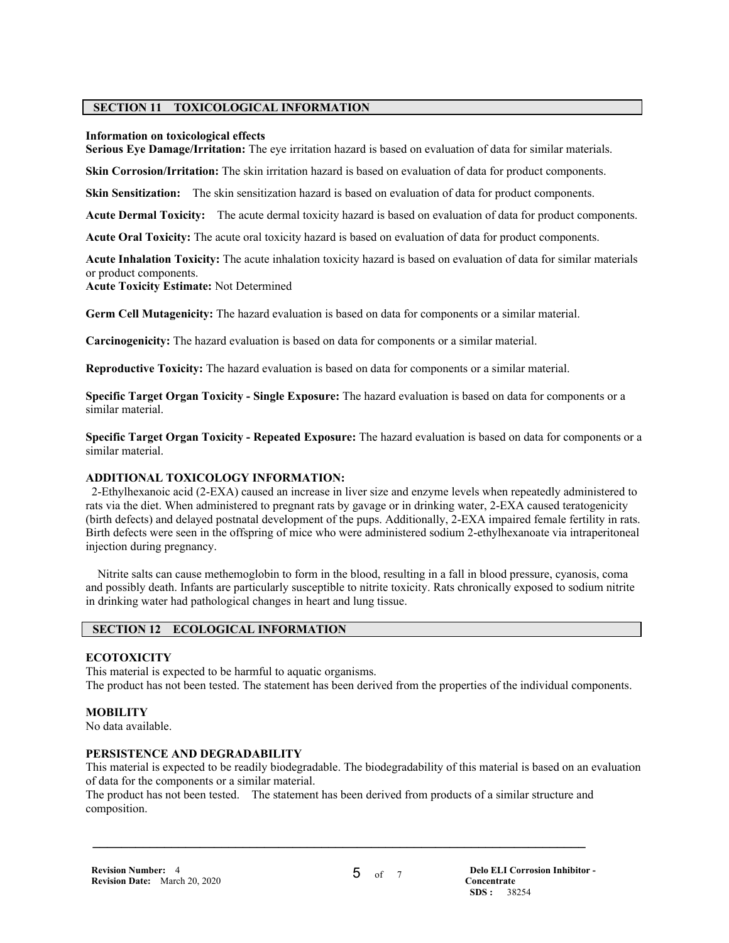## **SECTION 11 TOXICOLOGICAL INFORMATION**

#### **Information on toxicological effects**

**Serious Eye Damage/Irritation:** The eye irritation hazard is based on evaluation of data for similar materials.

**Skin Corrosion/Irritation:** The skin irritation hazard is based on evaluation of data for product components.

**Skin Sensitization:** The skin sensitization hazard is based on evaluation of data for product components.

**Acute Dermal Toxicity:** The acute dermal toxicity hazard is based on evaluation of data for product components.

**Acute Oral Toxicity:** The acute oral toxicity hazard is based on evaluation of data for product components.

**Acute Inhalation Toxicity:** The acute inhalation toxicity hazard is based on evaluation of data for similar materials or product components.

**Acute Toxicity Estimate:** Not Determined

**Germ Cell Mutagenicity:** The hazard evaluation is based on data for components or a similar material.

**Carcinogenicity:** The hazard evaluation is based on data for components or a similar material.

**Reproductive Toxicity:** The hazard evaluation is based on data for components or a similar material.

**Specific Target Organ Toxicity - Single Exposure:** The hazard evaluation is based on data for components or a similar material.

**Specific Target Organ Toxicity - Repeated Exposure:** The hazard evaluation is based on data for components or a similar material.

## **ADDITIONAL TOXICOLOGY INFORMATION:**

 2-Ethylhexanoic acid (2-EXA) caused an increase in liver size and enzyme levels when repeatedly administered to rats via the diet. When administered to pregnant rats by gavage or in drinking water, 2-EXA caused teratogenicity (birth defects) and delayed postnatal development of the pups. Additionally, 2-EXA impaired female fertility in rats. Birth defects were seen in the offspring of mice who were administered sodium 2-ethylhexanoate via intraperitoneal injection during pregnancy.

 Nitrite salts can cause methemoglobin to form in the blood, resulting in a fall in blood pressure, cyanosis, coma and possibly death. Infants are particularly susceptible to nitrite toxicity. Rats chronically exposed to sodium nitrite in drinking water had pathological changes in heart and lung tissue.

## **SECTION 12 ECOLOGICAL INFORMATION**

## **ECOTOXICITY**

This material is expected to be harmful to aquatic organisms. The product has not been tested. The statement has been derived from the properties of the individual components.

## **MOBILITY**

No data available.

## **PERSISTENCE AND DEGRADABILITY**

This material is expected to be readily biodegradable. The biodegradability of this material is based on an evaluation of data for the components or a similar material.

The product has not been tested. The statement has been derived from products of a similar structure and composition.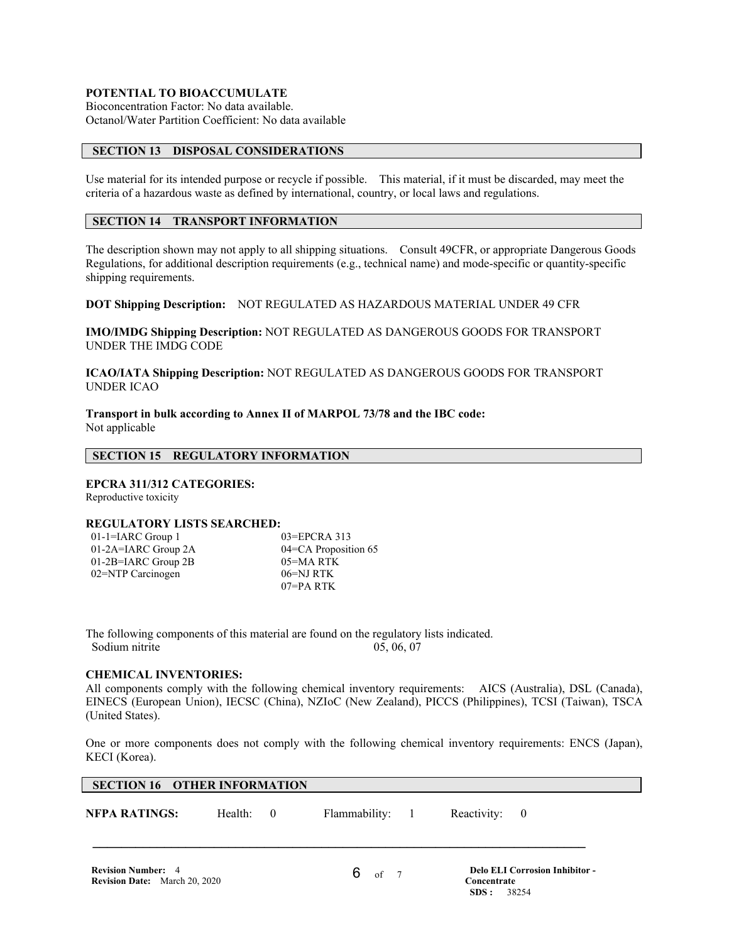## **POTENTIAL TO BIOACCUMULATE**

Bioconcentration Factor: No data available. Octanol/Water Partition Coefficient: No data available

## **SECTION 13 DISPOSAL CONSIDERATIONS**

Use material for its intended purpose or recycle if possible. This material, if it must be discarded, may meet the criteria of a hazardous waste as defined by international, country, or local laws and regulations.

## **SECTION 14 TRANSPORT INFORMATION**

The description shown may not apply to all shipping situations. Consult 49CFR, or appropriate Dangerous Goods Regulations, for additional description requirements (e.g., technical name) and mode-specific or quantity-specific shipping requirements.

**DOT Shipping Description:** NOT REGULATED AS HAZARDOUS MATERIAL UNDER 49 CFR

**IMO/IMDG Shipping Description:** NOT REGULATED AS DANGEROUS GOODS FOR TRANSPORT UNDER THE IMDG CODE

**ICAO/IATA Shipping Description:** NOT REGULATED AS DANGEROUS GOODS FOR TRANSPORT UNDER ICAO

**Transport in bulk according to Annex II of MARPOL 73/78 and the IBC code:** Not applicable

## **SECTION 15 REGULATORY INFORMATION**

## **EPCRA 311/312 CATEGORIES:**

Reproductive toxicity

## **REGULATORY LISTS SEARCHED:**

| $01-1=IARC$ Group 1   |  |
|-----------------------|--|
| 01-2A=IARC Group 2A   |  |
| $01-2B=IARC$ Group 2B |  |
| 02=NTP Carcinogen     |  |
|                       |  |

03=EPCRA 313 04=CA Proposition 65 05=MA RTK  $06=NJRTK$ 07=PA RTK

The following components of this material are found on the regulatory lists indicated. Sodium nitrite 05, 06, 07

## **CHEMICAL INVENTORIES:**

All components comply with the following chemical inventory requirements: AICS (Australia), DSL (Canada), EINECS (European Union), IECSC (China), NZIoC (New Zealand), PICCS (Philippines), TCSI (Taiwan), TSCA (United States).

One or more components does not comply with the following chemical inventory requirements: ENCS (Japan), KECI (Korea).

## **SECTION 16 OTHER INFORMATION**

**NFPA RATINGS:** Health: 0 Flammability: 1 Reactivity: 0